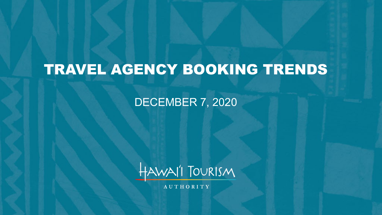# TRAVEL AGENCY BOOKING TRENDS

### DECEMBER 7, 2020



**AUTHORITY**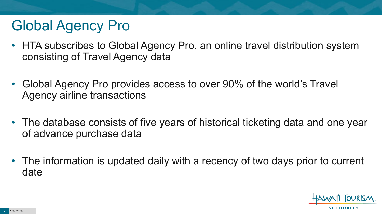# Global Agency Pro

- HTA subscribes to Global Agency Pro, an online travel distribution system consisting of Travel Agency data
- Global Agency Pro provides access to over 90% of the world's Travel Agency airline transactions
- The database consists of five years of historical ticketing data and one year of advance purchase data
- The information is updated daily with a recency of two days prior to current date

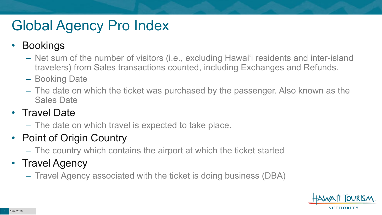# Global Agency Pro Index

### • Bookings

- Net sum of the number of visitors (i.e., excluding Hawai'i residents and inter-island travelers) from Sales transactions counted, including Exchanges and Refunds.
- Booking Date
- The date on which the ticket was purchased by the passenger. Also known as the Sales Date

### • Travel Date

– The date on which travel is expected to take place.

## • Point of Origin Country

– The country which contains the airport at which the ticket started

## • Travel Agency

– Travel Agency associated with the ticket is doing business (DBA)

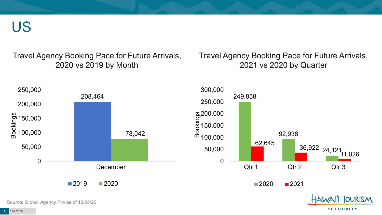US

Travel Agency Booking Pace for Future Arrivals, 2020 vs 2019 by Month

Travel Agency Booking Pace for Future Arrivals, 2021 vs 2020 by Quarter



Source: Global Agency Pro as of 12/05/20

**AUTHORITY**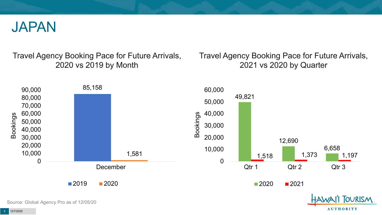

Travel Agency Booking Pace for Future Arrivals, 2020 vs 2019 by Month

Travel Agency Booking Pace for Future Arrivals, 2021 vs 2020 by Quarter

**AUTHORITY** 



Source: Global Agency Pro as of 12/05/20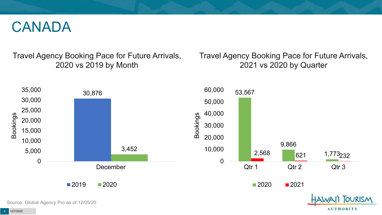## CANADA

Travel Agency Booking Pace for Future Arrivals, 2020 vs 2019 by Month

Travel Agency Booking Pace for Future Arrivals, 2021 vs 2020 by Quarter



Source: Global Agency Pro as of 12/05/20

**AUTHORITY**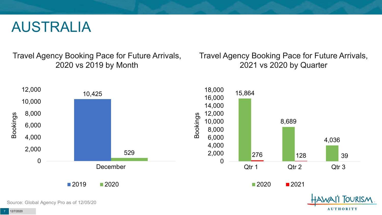## AUSTRALIA

Travel Agency Booking Pace for Future Arrivals, 2020 vs 2019 by Month

Travel Agency Booking Pace for Future Arrivals, 2021 vs 2020 by Quarter

**AUTHORITY** 



Source: Global Agency Pro as of 12/05/20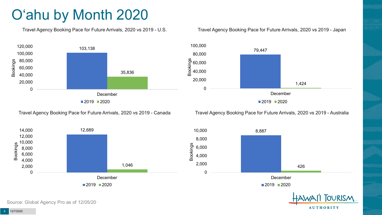# O'ahu by Month 2020

Travel Agency Booking Pace for Future Arrivals, 2020 vs 2019 - U.S.



#### Travel Agency Booking Pace for Future Arrivals, 2020 vs 2019 - Japan



Travel Agency Booking Pace for Future Arrivals, 2020 vs 2019 - Canada



Travel Agency Booking Pace for Future Arrivals, 2020 vs 2019 - Australia



**AUTHORITY** 

Source: Global Agency Pro as of 12/05/20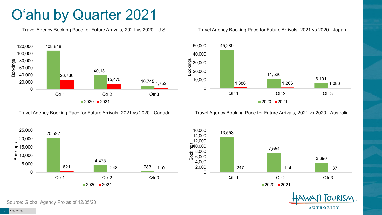# O'ahu by Quarter 2021

Travel Agency Booking Pace for Future Arrivals, 2021 vs 2020 - U.S.



Travel Agency Booking Pace for Future Arrivals, 2021 vs 2020 - Canada





Travel Agency Booking Pace for Future Arrivals, 2021 vs 2020 - Australia







Source: Global Agency Pro as of 12/05/20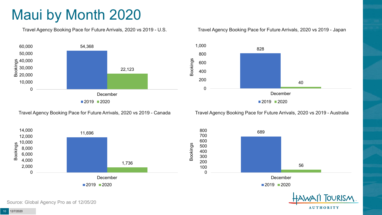# Maui by Month 2020

Travel Agency Booking Pace for Future Arrivals, 2020 vs 2019 - U.S.



Travel Agency Booking Pace for Future Arrivals, 2020 vs 2019 - Canada





Travel Agency Booking Pace for Future Arrivals, 2020 vs 2019 - Australia





**AUTHORITY** 

Source: Global Agency Pro as of 12/05/20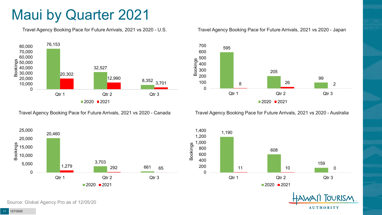## Maui by Quarter 2021

Travel Agency Booking Pace for Future Arrivals, 2021 vs 2020 - U.S.



Travel Agency Booking Pace for Future Arrivals, 2021 vs 2020 - Canada





Travel Agency Booking Pace for Future Arrivals, 2021 vs 2020 - Australia





**TOURISM AUTHORITY** 

Source: Global Agency Pro as of 12/05/20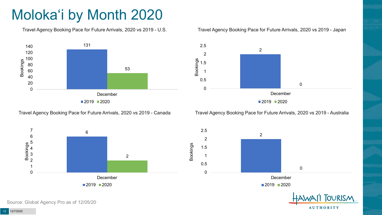# Moloka'i by Month 2020

Travel Agency Booking Pace for Future Arrivals, 2020 vs 2019 - U.S.



Travel Agency Booking Pace for Future Arrivals, 2020 vs 2019 - Canada





Travel Agency Booking Pace for Future Arrivals, 2020 vs 2019 - Australia





**AUTHORITY** 

Source: Global Agency Pro as of 12/05/20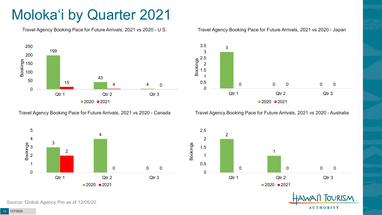# Moloka'i by Quarter 2021

Travel Agency Booking Pace for Future Arrivals, 2021 vs 2020 - U.S.



Travel Agency Booking Pace for Future Arrivals, 2021 vs 2020 - Canada



#### Travel Agency Booking Pace for Future Arrivals, 2021 vs 2020 - Japan



Travel Agency Booking Pace for Future Arrivals, 2021 vs 2020 - Australia





Source: Global Agency Pro as of 12/05/20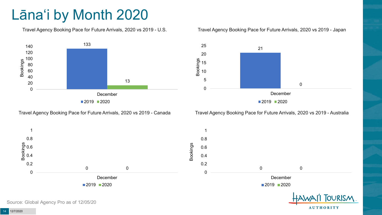# Lāna'i by Month 2020

Travel Agency Booking Pace for Future Arrivals, 2020 vs 2019 - U.S.



Travel Agency Booking Pace for Future Arrivals, 2020 vs 2019 - Canada

#### Travel Agency Booking Pace for Future Arrivals, 2020 vs 2019 - Japan



Travel Agency Booking Pace for Future Arrivals, 2020 vs 2019 - Australia

**AUTHORITY** 



Source: Global Agency Pro as of 12/05/20

12/7/2020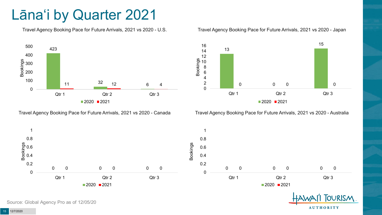## Lāna'i by Quarter 2021

Travel Agency Booking Pace for Future Arrivals, 2021 vs 2020 - U.S.



Travel Agency Booking Pace for Future Arrivals, 2021 vs 2020 - Canada





Travel Agency Booking Pace for Future Arrivals, 2021 vs 2020 - Australia



**TOURISM AUTHORITY** 

Source: Global Agency Pro as of 12/05/20

12/7/2020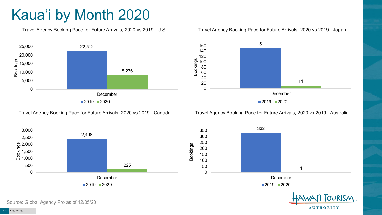# Kaua'i by Month 2020

Travel Agency Booking Pace for Future Arrivals, 2020 vs 2019 - U.S.



Travel Agency Booking Pace for Future Arrivals, 2020 vs 2019 - Canada





Travel Agency Booking Pace for Future Arrivals, 2020 vs 2019 - Australia



332 1 0 50 100 150 200 250 300 350 December  $2019$  2020



Source: Global Agency Pro as of 12/05/20

12/7/2020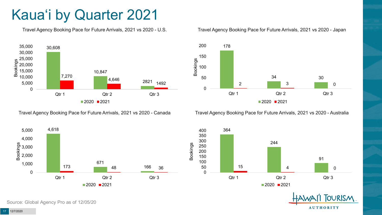# Kaua'i by Quarter 2021

Travel Agency Booking Pace for Future Arrivals, 2021 vs 2020 - U.S.



Travel Agency Booking Pace for Future Arrivals, 2021 vs 2020 - Canada





Travel Agency Booking Pace for Future Arrivals, 2021 vs 2020 - Australia





**TOURISM AUTHORITY** 

Source: Global Agency Pro as of 12/05/20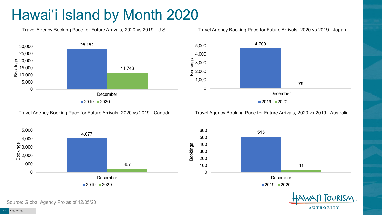# Hawai'i Island by Month 2020

Travel Agency Booking Pace for Future Arrivals, 2020 vs 2019 - U.S.



4,709

1,000

2,000 %<br>පි 3,000<br>0 2,000<br>ස

4,000

5,000



0 December

79

**AUTHORITY** 

■2019 ■2020

Travel Agency Booking Pace for Future Arrivals, 2020 vs 2019 - Canada

Travel Agency Booking Pace for Future Arrivals, 2020 vs 2019 - Australia





Source: Global Agency Pro as of 12/05/20